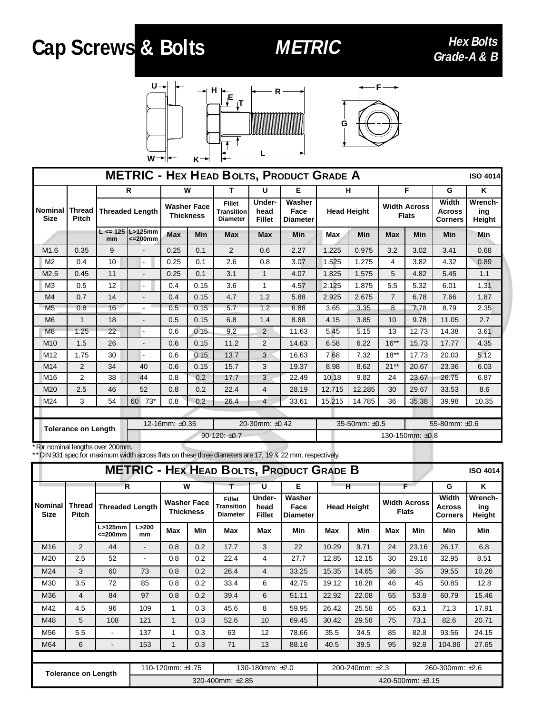## Cap Screws & Bolts METRIC Hex Bolts Reade-A & B





| <b>METRIC - HEX HEAD BOLTS, PRODUCT GRADE A</b><br><b>ISO 4014</b> |                               |                        |                                     |                                        |            |                                                       |                                 |                                   |                    |               |                                     |            |                                          |                          |
|--------------------------------------------------------------------|-------------------------------|------------------------|-------------------------------------|----------------------------------------|------------|-------------------------------------------------------|---------------------------------|-----------------------------------|--------------------|---------------|-------------------------------------|------------|------------------------------------------|--------------------------|
|                                                                    |                               | R                      |                                     | W                                      |            | т                                                     | U                               | Е                                 |                    | н             | F                                   |            | G                                        | K                        |
| <b>Nominal</b><br><b>Size</b>                                      | <b>Thread</b><br><b>Pitch</b> | <b>Threaded Length</b> |                                     | <b>Washer Face</b><br><b>Thickness</b> |            | <b>Fillet</b><br><b>Transition</b><br><b>Diameter</b> | Under-<br>head<br><b>Fillet</b> | Washer<br>Face<br><b>Diameter</b> | <b>Head Height</b> |               | <b>Width Across</b><br><b>Flats</b> |            | Width<br><b>Across</b><br><b>Corners</b> | Wrench-<br>ing<br>Height |
|                                                                    |                               | mm                     | $L \le 125$ L>125mm<br>$\leq$ 200mm | Max                                    | <b>Min</b> | <b>Max</b>                                            | <b>Max</b>                      | Min                               | <b>Max</b>         | <b>Min</b>    | <b>Max</b>                          | <b>Min</b> | <b>Min</b>                               | Min                      |
| M1.6                                                               | 0.35                          | 9                      |                                     | 0.25                                   | 0.1        | 2                                                     | 0.6                             | 2.27                              | 1.225              | 0.975         | 3.2                                 | 3.02       | 3.41                                     | 0.68                     |
| M <sub>2</sub>                                                     | 0.4                           | 10                     |                                     | 0.25                                   | 0.1        | 2.6                                                   | 0.8                             | 3.07                              | 1.525              | 1.275         | 4                                   | 3.82       | 4.32                                     | 0.89                     |
| M2.5                                                               | 0.45                          | 11                     |                                     | 0.25                                   | 0.1        | 3.1                                                   | $\mathbf{1}$                    | 4.07                              | 1.825              | 1.575         | 5                                   | 4.82       | 5.45                                     | 1.1                      |
| M <sub>3</sub>                                                     | 0.5                           | 12                     | $\blacksquare$                      | 0.4                                    | 0.15       | 3.6                                                   | 1                               | 4.57                              | 2.125              | 1.875         | 5.5                                 | 5.32       | 6.01                                     | 1.31                     |
| M <sub>4</sub>                                                     | 0.7                           | 14                     |                                     | 0.4                                    | 0.15       | 4.7                                                   | 1.2                             | 5.88                              | 2.925              | 2.675         | $\overline{7}$                      | 6.78       | 7.66                                     | 1.87                     |
| M <sub>5</sub>                                                     | 0.8                           | 16                     | $\blacksquare$                      | 0.5                                    | 0.15       | 5.7                                                   | 1.2                             | 6.88                              | 3.65               | 3.35          | 8                                   | 7.78       | 8.79                                     | 2.35                     |
| M <sub>6</sub>                                                     | 1                             | 18                     | $\overline{\phantom{a}}$            | 0.5                                    | 0.15       | 6.8                                                   | 1.4                             | 8.88                              | 4.15               | 3.85          | 10                                  | 9.78       | 11.05                                    | 2.7                      |
| M8                                                                 | 1.25                          | 22                     | $\blacksquare$                      | 0.6                                    | 0.15       | 9.2                                                   | $\overline{2}$                  | 11.63                             | 5.45               | 5.15          | 13                                  | 12.73      | 14.38                                    | 3.61                     |
| M <sub>10</sub>                                                    | 1.5                           | 26                     | $\overline{\phantom{a}}$            | 0.6                                    | 0.15       | 11.2                                                  | 2                               | 14.63                             | 6.58               | 6.22          | $16**$                              | 15.73      | 17.77                                    | 4.35                     |
| M <sub>12</sub>                                                    | 1.75                          | 30                     |                                     | 0.6                                    | 0.15       | 13.7                                                  | 3                               | 16.63                             | 7.68               | 7.32          | $18**$                              | 17.73      | 20.03                                    | 5.12                     |
| M <sub>14</sub>                                                    | $\overline{2}$                | 34                     | 40                                  | 0.6                                    | 0.15       | 15.7                                                  | 3                               | 19.37                             | 8.98               | 8.62          | $21**$                              | 20.67      | 23.36                                    | 6.03                     |
| M <sub>16</sub>                                                    | $\overline{2}$                | 38                     | 44                                  | 0.8                                    | 0.2        | 17.7                                                  | 3                               | 22.49                             | 10.18              | 9.82          | 24                                  | 23.67      | 26.75                                    | 6.87                     |
| M20                                                                | 2.5                           | 46                     | 52                                  | 0.8                                    | 0.2        | 22.4                                                  | 4                               | 28.19                             | 12.715             | 12.285        | 30                                  | 29.67      | 33.53                                    | 8.6                      |
| M24                                                                | 3                             | 54                     | $73*$<br>60                         | 0.8                                    | 0.2        | 26.4                                                  | $\overline{4}$                  | 33.61                             | 15.215             | 14.785        | 36                                  | 35.38      | 39.98                                    | 10.35                    |
|                                                                    |                               |                        |                                     |                                        |            |                                                       |                                 |                                   |                    |               |                                     |            |                                          |                          |
| <b>Tolerance on Length</b>                                         |                               |                        |                                     | 12-16mm: ±0.35                         |            |                                                       | 20-30mm: ±0.42                  |                                   |                    | 35-50mm: ±0.5 |                                     |            | 55-80mm: ±0.6                            |                          |
|                                                                    |                               |                        | $90-120: \pm 0.7$                   |                                        |            |                                                       |                                 |                                   | 130-150mm: ±0.8    |               |                                     |            |                                          |                          |

\*For nominal lengths over 200mm.

\*\*DIN 931 spec for maximum width across flats on these three diameters are 17, 19 & 22 mm, respectively.

| <b>METRIC - HEX HEAD BOLTS, PRODUCT GRADE B</b><br><b>ISO 4014</b> |                        |                          |                  |                                        |     |                                                       |                                 |                                   |                         |       |                                     |            |                                          |                          |
|--------------------------------------------------------------------|------------------------|--------------------------|------------------|----------------------------------------|-----|-------------------------------------------------------|---------------------------------|-----------------------------------|-------------------------|-------|-------------------------------------|------------|------------------------------------------|--------------------------|
|                                                                    | Thread<br><b>Pitch</b> | R.                       |                  | W                                      |     |                                                       | U                               | Е                                 | н<br><b>Head Height</b> |       | F.                                  |            | G                                        | ĸ                        |
| <b>Nominal</b><br><b>Size</b>                                      |                        | <b>Threaded Length</b>   |                  | <b>Washer Face</b><br><b>Thickness</b> |     | <b>Fillet</b><br><b>Transition</b><br><b>Diameter</b> | Under-<br>head<br><b>Fillet</b> | Washer<br>Face<br><b>Diameter</b> |                         |       | <b>Width Across</b><br><b>Flats</b> |            | Width<br><b>Across</b><br><b>Corners</b> | Wrench-<br>ing<br>Height |
|                                                                    |                        | $L > 125$ mm<br><=200mm  | L > 200<br>mm    | Max                                    | Min | Max                                                   | Max                             | Min                               | Max                     | Min   | <b>Max</b>                          | <b>Min</b> | Min                                      | <b>Min</b>               |
| M16                                                                | 2                      | 44                       |                  | 0.8                                    | 0.2 | 17.7                                                  | 3                               | 22                                | 10.29                   | 9.71  | 24                                  | 23.16      | 26.17                                    | 6.8                      |
| M20                                                                | 2.5                    | 52                       |                  | 0.8                                    | 0.2 | 22.4                                                  | 4                               | 27.7                              | 12.85                   | 12.15 | 30                                  | 29.16      | 32.95                                    | 8.51                     |
| M24                                                                | 3                      | 60                       | 73               | 0.8                                    | 0.2 | 26.4                                                  | 4                               | 33.25                             | 15.35                   | 14.65 | 36                                  | 35         | 39.55                                    | 10.26                    |
| M30                                                                | 3.5                    | 72                       | 85               | 0.8                                    | 0.2 | 33.4                                                  | 6                               | 42.75                             | 19.12                   | 18.28 | 46                                  | 45         | 50.85                                    | 12.8                     |
| M36                                                                | 4                      | 84                       | 97               | 0.8                                    | 0.2 | 39.4                                                  | 6                               | 51.11                             | 22.92                   | 22.08 | 55                                  | 53.8       | 60.79                                    | 15.46                    |
| M42                                                                | 4.5                    | 96                       | 109              | 1                                      | 0.3 | 45.6                                                  | 8                               | 59.95                             | 26.42                   | 25.58 | 65                                  | 63.1       | 71.3                                     | 17.91                    |
| M48                                                                | 5                      | 108                      | 121              | $\mathbf{1}$                           | 0.3 | 52.6                                                  | 10                              | 69.45                             | 30.42                   | 29.58 | 75                                  | 73.1       | 82.6                                     | 20.71                    |
| M56                                                                | 5.5                    |                          | 137              | 1                                      | 0.3 | 63                                                    | 12                              | 78.66                             | 35.5                    | 34.5  | 85                                  | 82.8       | 93.56                                    | 24.15                    |
| M64                                                                | 6                      | $\overline{\phantom{a}}$ | 153              | $\mathbf{1}$                           | 0.3 | 71                                                    | 13                              | 88.16                             | 40.5                    | 39.5  | 95                                  | 92.8       | 104.86                                   | 27.65                    |
|                                                                    |                        |                          |                  |                                        |     |                                                       |                                 |                                   |                         |       |                                     |            |                                          |                          |
| <b>Tolerance on Length</b>                                         |                        |                          | 110-120mm: ±1.75 |                                        |     | 130-180mm: ±2.0                                       |                                 |                                   | 200-240mm: ±2.3         |       |                                     |            | 260-300mm: ±2.6                          |                          |
|                                                                    |                        |                          | 320-400mm: ±2.85 |                                        |     |                                                       |                                 |                                   | 420-500mm: $\pm 3.15$   |       |                                     |            |                                          |                          |